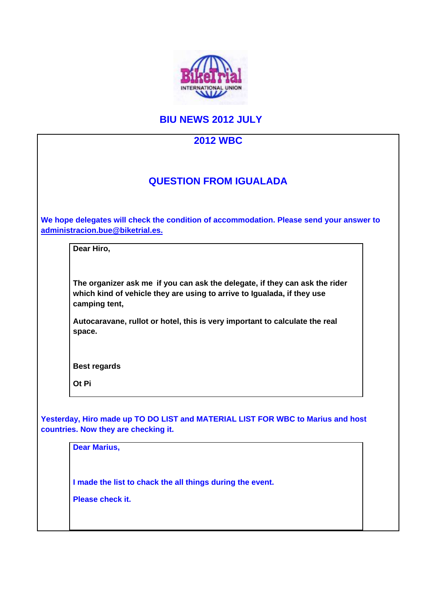

## **BIU NEWS 2012 JULY**

| <b>2012 WBC</b>                                                                          |  |  |  |  |  |
|------------------------------------------------------------------------------------------|--|--|--|--|--|
|                                                                                          |  |  |  |  |  |
| <b>QUESTION FROM IGUALADA</b>                                                            |  |  |  |  |  |
|                                                                                          |  |  |  |  |  |
| We hope delegates will check the condition of accommodation. Please send your answer to  |  |  |  |  |  |
| administracion.bue@biketrial.es.                                                         |  |  |  |  |  |
| Dear Hiro,                                                                               |  |  |  |  |  |
|                                                                                          |  |  |  |  |  |
| The organizer ask me if you can ask the delegate, if they can ask the rider              |  |  |  |  |  |
| which kind of vehicle they are using to arrive to Igualada, if they use<br>camping tent, |  |  |  |  |  |
| Autocaravane, rullot or hotel, this is very important to calculate the real              |  |  |  |  |  |
| space.                                                                                   |  |  |  |  |  |
|                                                                                          |  |  |  |  |  |
| <b>Best regards</b>                                                                      |  |  |  |  |  |
| Ot Pi                                                                                    |  |  |  |  |  |
|                                                                                          |  |  |  |  |  |
| Yesterday, Hiro made up TO DO LIST and MATERIAL LIST FOR WBC to Marius and host          |  |  |  |  |  |
| countries. Now they are checking it.                                                     |  |  |  |  |  |
| <b>Dear Marius,</b>                                                                      |  |  |  |  |  |
|                                                                                          |  |  |  |  |  |
| I made the list to chack the all things during the event.                                |  |  |  |  |  |
| Please check it.                                                                         |  |  |  |  |  |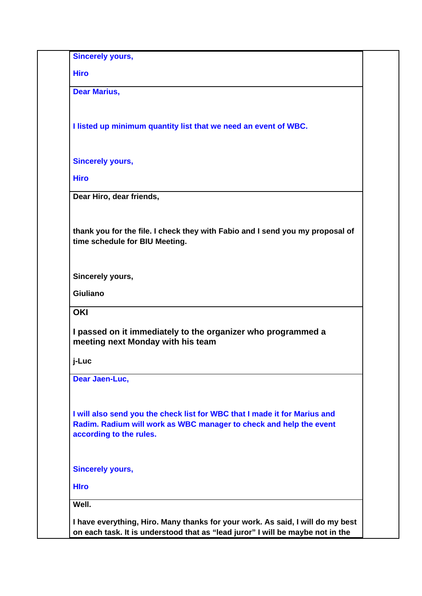| <b>Sincerely yours,</b>        |                                                                                                                                                 |                                                                               |
|--------------------------------|-------------------------------------------------------------------------------------------------------------------------------------------------|-------------------------------------------------------------------------------|
| <b>Hiro</b>                    |                                                                                                                                                 |                                                                               |
| <b>Dear Marius,</b>            |                                                                                                                                                 |                                                                               |
|                                | I listed up minimum quantity list that we need an event of WBC.                                                                                 |                                                                               |
| <b>Sincerely yours,</b>        |                                                                                                                                                 |                                                                               |
| <b>Hiro</b>                    |                                                                                                                                                 |                                                                               |
| Dear Hiro, dear friends,       |                                                                                                                                                 |                                                                               |
| time schedule for BIU Meeting. |                                                                                                                                                 | thank you for the file. I check they with Fabio and I send you my proposal of |
| Sincerely yours,               |                                                                                                                                                 |                                                                               |
| <b>Giuliano</b>                |                                                                                                                                                 |                                                                               |
| <b>OKI</b>                     |                                                                                                                                                 |                                                                               |
|                                | I passed on it immediately to the organizer who programmed a<br>meeting next Monday with his team                                               |                                                                               |
| j-Luc                          |                                                                                                                                                 |                                                                               |
| Dear Jaen-Luc,                 |                                                                                                                                                 |                                                                               |
| according to the rules.        | I will also send you the check list for WBC that I made it for Marius and<br>Radim. Radium will work as WBC manager to check and help the event |                                                                               |
| <b>Sincerely yours,</b>        |                                                                                                                                                 |                                                                               |
| <b>H</b> Iro                   |                                                                                                                                                 |                                                                               |
| Well.                          |                                                                                                                                                 |                                                                               |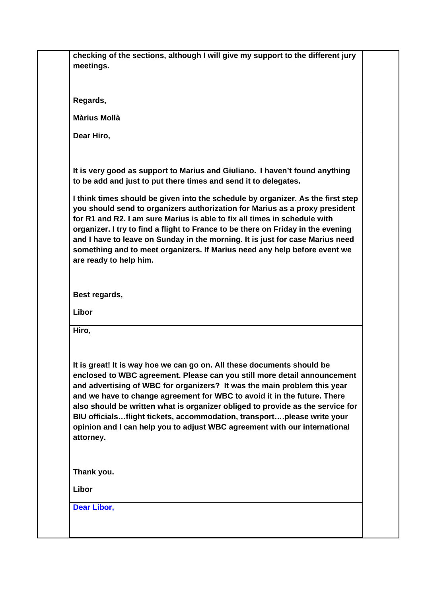| checking of the sections, although I will give my support to the different jury<br>meetings.                                                                                                                                                                                                                                                                                                                                                                                                                                                                     |
|------------------------------------------------------------------------------------------------------------------------------------------------------------------------------------------------------------------------------------------------------------------------------------------------------------------------------------------------------------------------------------------------------------------------------------------------------------------------------------------------------------------------------------------------------------------|
|                                                                                                                                                                                                                                                                                                                                                                                                                                                                                                                                                                  |
| Regards,                                                                                                                                                                                                                                                                                                                                                                                                                                                                                                                                                         |
| <b>Màrius Mollà</b>                                                                                                                                                                                                                                                                                                                                                                                                                                                                                                                                              |
| Dear Hiro,                                                                                                                                                                                                                                                                                                                                                                                                                                                                                                                                                       |
| It is very good as support to Marius and Giuliano. I haven't found anything<br>to be add and just to put there times and send it to delegates.                                                                                                                                                                                                                                                                                                                                                                                                                   |
| I think times should be given into the schedule by organizer. As the first step<br>you should send to organizers authorization for Marius as a proxy president<br>for R1 and R2. I am sure Marius is able to fix all times in schedule with<br>organizer. I try to find a flight to France to be there on Friday in the evening<br>and I have to leave on Sunday in the morning. It is just for case Marius need<br>something and to meet organizers. If Marius need any help before event we<br>are ready to help him.                                          |
| Best regards,                                                                                                                                                                                                                                                                                                                                                                                                                                                                                                                                                    |
| Libor                                                                                                                                                                                                                                                                                                                                                                                                                                                                                                                                                            |
| Hiro,                                                                                                                                                                                                                                                                                                                                                                                                                                                                                                                                                            |
| It is great! It is way hoe we can go on. All these documents should be<br>enclosed to WBC agreement. Please can you still more detail announcement<br>and advertising of WBC for organizers? It was the main problem this year<br>and we have to change agreement for WBC to avoid it in the future. There<br>also should be written what is organizer obliged to provide as the service for<br>BIU officialsflight tickets, accommodation, transportplease write your<br>opinion and I can help you to adjust WBC agreement with our international<br>attorney. |
| Thank you.                                                                                                                                                                                                                                                                                                                                                                                                                                                                                                                                                       |
| Libor                                                                                                                                                                                                                                                                                                                                                                                                                                                                                                                                                            |
| Dear Libor,                                                                                                                                                                                                                                                                                                                                                                                                                                                                                                                                                      |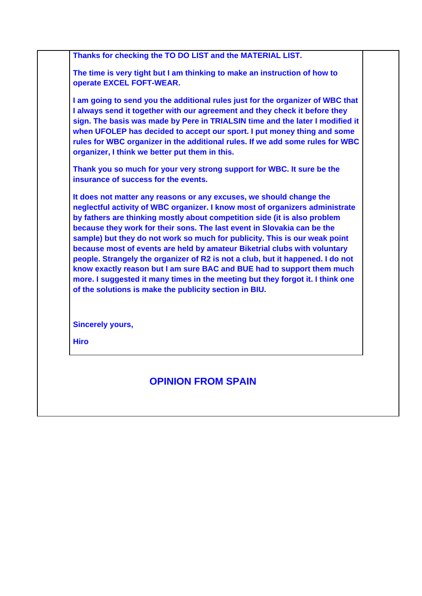| The time is very tight but I am thinking to make an instruction of how to<br>operate EXCEL FOFT-WEAR.                                                                                                                                                                                                                                                                                                                                                                                                                                                                                                                                                                                                                                                                          |
|--------------------------------------------------------------------------------------------------------------------------------------------------------------------------------------------------------------------------------------------------------------------------------------------------------------------------------------------------------------------------------------------------------------------------------------------------------------------------------------------------------------------------------------------------------------------------------------------------------------------------------------------------------------------------------------------------------------------------------------------------------------------------------|
| I am going to send you the additional rules just for the organizer of WBC that<br>I always send it together with our agreement and they check it before they<br>sign. The basis was made by Pere in TRIALSIN time and the later I modified it<br>when UFOLEP has decided to accept our sport. I put money thing and some<br>rules for WBC organizer in the additional rules. If we add some rules for WBC<br>organizer, I think we better put them in this.                                                                                                                                                                                                                                                                                                                    |
| Thank you so much for your very strong support for WBC. It sure be the<br>insurance of success for the events.                                                                                                                                                                                                                                                                                                                                                                                                                                                                                                                                                                                                                                                                 |
| It does not matter any reasons or any excuses, we should change the<br>neglectful activity of WBC organizer. I know most of organizers administrate<br>by fathers are thinking mostly about competition side (it is also problem<br>because they work for their sons. The last event in Slovakia can be the<br>sample) but they do not work so much for publicity. This is our weak point<br>because most of events are held by amateur Biketrial clubs with voluntary<br>people. Strangely the organizer of R2 is not a club, but it happened. I do not<br>know exactly reason but I am sure BAC and BUE had to support them much<br>more. I suggested it many times in the meeting but they forgot it. I think one<br>of the solutions is make the publicity section in BIU. |
| <b>Sincerely yours,</b>                                                                                                                                                                                                                                                                                                                                                                                                                                                                                                                                                                                                                                                                                                                                                        |
| <b>Hiro</b>                                                                                                                                                                                                                                                                                                                                                                                                                                                                                                                                                                                                                                                                                                                                                                    |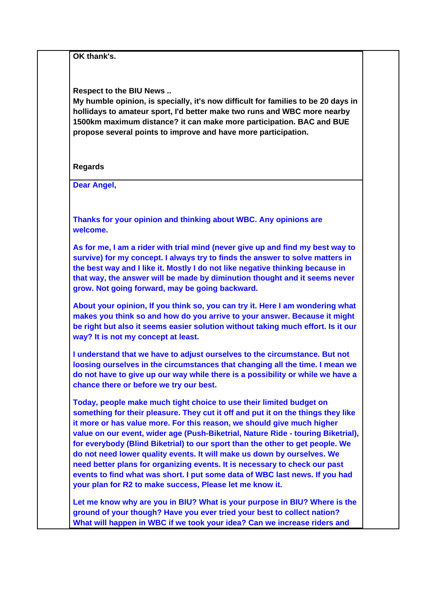**OK thank's.**

**Respect to the BIU News ..** 

**My humble opinion, is specially, it's now difficult for families to be 20 days in hollidays to amateur sport, I'd better make two runs and WBC more nearby 1500km maximum distance? it can make more participation. BAC and BUE propose several points to improve and have more participation.**

**Regards**

**Dear Angel,**

**Thanks for your opinion and thinking about WBC. Any opinions are welcome.** 

**As for me, I am a rider with trial mind (never give up and find my best way to survive) for my concept. I always try to finds the answer to solve matters in the best way and I like it. Mostly I do not like negative thinking because in that way, the answer will be made by diminution thought and it seems never grow. Not going forward, may be going backward.**

**About your opinion, If you think so, you can try it. Here I am wondering what makes you think so and how do you arrive to your answer. Because it might be right but also it seems easier solution without taking much effort. Is it our way? It is not my concept at least.** 

**I understand that we have to adjust ourselves to the circumstance. But not loosing ourselves in the circumstances that changing all the time. I mean we do not have to give up our way while there is a possibility or while we have a chance there or before we try our best.** 

**Today, people make much tight choice to use their limited budget on something for their pleasure. They cut it off and put it on the things they like it more or has value more. For this reason, we should give much higher value on our event, wider age (Push-Biketrial, Nature Ride - touring Biketrial), for everybody (Blind Biketrial) to our sport than the other to get people. We do not need lower quality events. It will make us down by ourselves. We need better plans for organizing events. It is necessary to check our past events to find what was short. I put some data of WBC last news. If you had your plan for R2 to make success, Please let me know it.** 

**Let me know why are you in BIU? What is your purpose in BIU? Where is the ground of your though? Have you ever tried your best to collect nation? What will happen in WBC if we took your idea? Can we increase riders and**